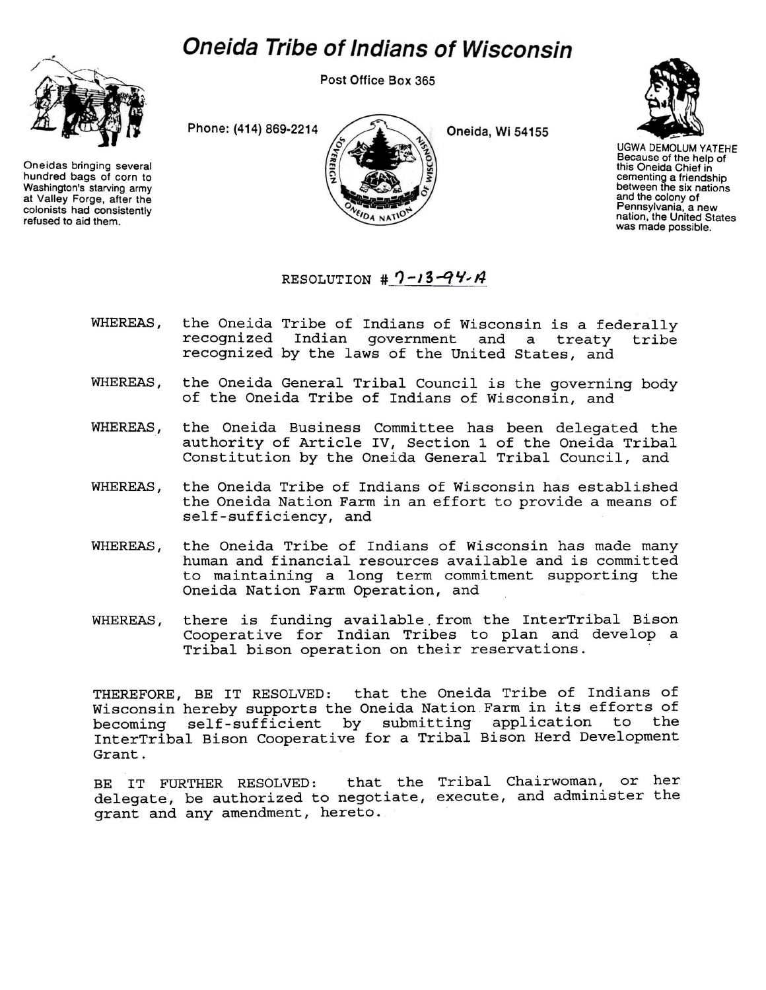## *Oneida Tribe of Indians of Wisconsin*



Oneidas bringing several hundred bags of corn to Washington's starving army at Valley Forge, after the colonists had consistently refused to aid them.

**Post Office Box 365** 

**Phone: (414) 869-2214** 2



UGWA DEMOLUM YATEHE Because of the help of this Oneida Chief in cementing a friendship between the six nations and the colony of Pennsylvania, a new nation, the United States was made possible.

## RESOLUTION  $# 7 - 13 - 94 - 14$

DA NATIC

- WHEREAS, the Oneida Tribe of Indians of Wisconsin is a federally recognized Indian government and a treaty tribe recognized by the laws of the United States, and
- WHEREAS, the Oneida General Tribal Council is the governing body of the Oneida Tribe of Indians of Wisconsin, and
- WHEREAS, the Oneida Business Committee has been delegated the authority of Article IV, Section 1 of the Oneida Tribal Constitution by the Oneida General Tribal Council, and
- WHEREAS, the Oneida Tribe of Indians of Wisconsin has established the Oneida Nation Farm in an effort to provide a means of self-sufficiency, and
- WHEREAS, the Oneida Tribe of Indians of Wisconsin has made many human and financial resources available and is committed to maintaining a long term commitment supporting the Oneida Nation Farm Operation, and
- WHEREAS, there is funding available.from the InterTribal Bison Cooperative for Indian Tribes to plan and develop a Tribal bison operation on their reservations.

THEREFORE, BE IT RESOLVED: that the Oneida Tribe of Indians of Wisconsin hereby supports the Oneida Nation Farm in its efforts of<br>becoming self-sufficient by submitting application to the becoming self-sufficient by submitting application InterTribal Bison Cooperative for a Tribal Bison Herd Development Grant.

BE IT FURTHER RESOLVED: that the Tribal Chairwoman, or her delegate, be authorized to negotiate, execute, and administer the grant and any amendment, hereto.